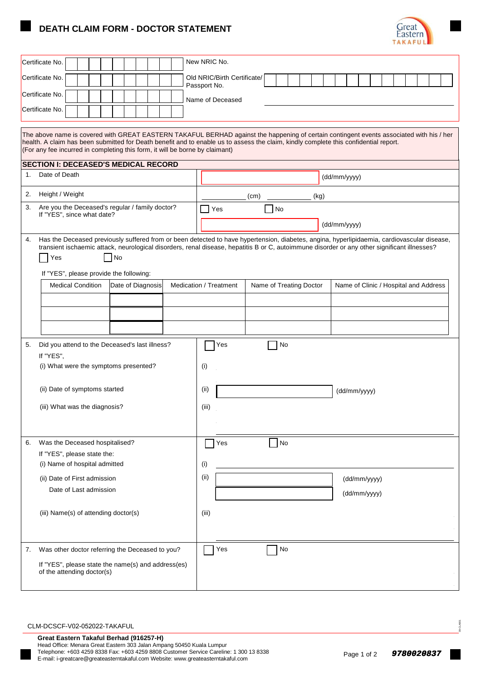## **DEATH CLAIM FORM - DOCTOR STATEMENT**



| Certificate No.                                                                                                                                                                                                                                                                                                                                                  |                                                                                                                                                                                                                                                                                             | New NRIC No.                                      |  |         |                                       |  |  |              |  |  |  |  |  |
|------------------------------------------------------------------------------------------------------------------------------------------------------------------------------------------------------------------------------------------------------------------------------------------------------------------------------------------------------------------|---------------------------------------------------------------------------------------------------------------------------------------------------------------------------------------------------------------------------------------------------------------------------------------------|---------------------------------------------------|--|---------|---------------------------------------|--|--|--------------|--|--|--|--|--|
| Certificate No.                                                                                                                                                                                                                                                                                                                                                  |                                                                                                                                                                                                                                                                                             | Old NRIC/Birth Certificate/<br>Passport No.       |  |         |                                       |  |  |              |  |  |  |  |  |
| Certificate No.                                                                                                                                                                                                                                                                                                                                                  |                                                                                                                                                                                                                                                                                             |                                                   |  |         |                                       |  |  |              |  |  |  |  |  |
| Certificate No.                                                                                                                                                                                                                                                                                                                                                  |                                                                                                                                                                                                                                                                                             | Name of Deceased                                  |  |         |                                       |  |  |              |  |  |  |  |  |
|                                                                                                                                                                                                                                                                                                                                                                  |                                                                                                                                                                                                                                                                                             |                                                   |  |         |                                       |  |  |              |  |  |  |  |  |
| The above name is covered with GREAT EASTERN TAKAFUL BERHAD against the happening of certain contingent events associated with his / her<br>health. A claim has been submitted for Death benefit and to enable us to assess the claim, kindly complete this confidential report.<br>(For any fee incurred in completing this form, it will be borne by claimant) |                                                                                                                                                                                                                                                                                             |                                                   |  |         |                                       |  |  |              |  |  |  |  |  |
| <b>SECTION I: DECEASED'S MEDICAL RECORD</b><br>Date of Death                                                                                                                                                                                                                                                                                                     |                                                                                                                                                                                                                                                                                             |                                                   |  |         |                                       |  |  |              |  |  |  |  |  |
| $1_{\cdot}$                                                                                                                                                                                                                                                                                                                                                      |                                                                                                                                                                                                                                                                                             | (dd/mm/yyyy)                                      |  |         |                                       |  |  |              |  |  |  |  |  |
| Height / Weight<br>2.                                                                                                                                                                                                                                                                                                                                            |                                                                                                                                                                                                                                                                                             | (kg)<br>(cm)                                      |  |         |                                       |  |  |              |  |  |  |  |  |
| Are you the Deceased's regular / family doctor?<br>3.<br>If "YES", since what date?                                                                                                                                                                                                                                                                              | Yes                                                                                                                                                                                                                                                                                         | No                                                |  |         |                                       |  |  |              |  |  |  |  |  |
|                                                                                                                                                                                                                                                                                                                                                                  |                                                                                                                                                                                                                                                                                             | (dd/mm/yyyy)                                      |  |         |                                       |  |  |              |  |  |  |  |  |
| 4.<br>l No<br>Yes                                                                                                                                                                                                                                                                                                                                                | Has the Deceased previously suffered from or been detected to have hypertension, diabetes, angina, hyperlipidaemia, cardiovascular disease,<br>transient ischaemic attack, neurological disorders, renal disease, hepatitis B or C, autoimmune disorder or any other significant illnesses? |                                                   |  |         |                                       |  |  |              |  |  |  |  |  |
| If "YES", please provide the following:<br><b>Medical Condition</b><br>Date of Diagnosis                                                                                                                                                                                                                                                                         |                                                                                                                                                                                                                                                                                             | Medication / Treatment<br>Name of Treating Doctor |  |         | Name of Clinic / Hospital and Address |  |  |              |  |  |  |  |  |
|                                                                                                                                                                                                                                                                                                                                                                  |                                                                                                                                                                                                                                                                                             |                                                   |  |         |                                       |  |  |              |  |  |  |  |  |
|                                                                                                                                                                                                                                                                                                                                                                  |                                                                                                                                                                                                                                                                                             |                                                   |  |         |                                       |  |  |              |  |  |  |  |  |
|                                                                                                                                                                                                                                                                                                                                                                  |                                                                                                                                                                                                                                                                                             |                                                   |  |         |                                       |  |  |              |  |  |  |  |  |
| 5.<br>Did you attend to the Deceased's last illness?                                                                                                                                                                                                                                                                                                             |                                                                                                                                                                                                                                                                                             | Yes                                               |  | No      |                                       |  |  |              |  |  |  |  |  |
| If "YES",                                                                                                                                                                                                                                                                                                                                                        |                                                                                                                                                                                                                                                                                             |                                                   |  |         |                                       |  |  |              |  |  |  |  |  |
| (i) What were the symptoms presented?                                                                                                                                                                                                                                                                                                                            |                                                                                                                                                                                                                                                                                             | (i)                                               |  |         |                                       |  |  |              |  |  |  |  |  |
| (ii) Date of symptoms started                                                                                                                                                                                                                                                                                                                                    |                                                                                                                                                                                                                                                                                             | (i)<br>(dd/mm/yyyy)                               |  |         |                                       |  |  |              |  |  |  |  |  |
| (iii) What was the diagnosis?                                                                                                                                                                                                                                                                                                                                    |                                                                                                                                                                                                                                                                                             |                                                   |  |         |                                       |  |  |              |  |  |  |  |  |
|                                                                                                                                                                                                                                                                                                                                                                  |                                                                                                                                                                                                                                                                                             | (iii)                                             |  |         |                                       |  |  |              |  |  |  |  |  |
|                                                                                                                                                                                                                                                                                                                                                                  |                                                                                                                                                                                                                                                                                             |                                                   |  |         |                                       |  |  |              |  |  |  |  |  |
| Was the Deceased hospitalised?<br>6.                                                                                                                                                                                                                                                                                                                             |                                                                                                                                                                                                                                                                                             | Yes                                               |  | $\n  o$ |                                       |  |  |              |  |  |  |  |  |
| If "YES", please state the:<br>(i) Name of hospital admitted                                                                                                                                                                                                                                                                                                     |                                                                                                                                                                                                                                                                                             | (i)                                               |  |         |                                       |  |  |              |  |  |  |  |  |
| (ii) Date of First admission                                                                                                                                                                                                                                                                                                                                     |                                                                                                                                                                                                                                                                                             | (ii)                                              |  |         |                                       |  |  | (dd/mm/yyyy) |  |  |  |  |  |
| Date of Last admission                                                                                                                                                                                                                                                                                                                                           |                                                                                                                                                                                                                                                                                             |                                                   |  |         |                                       |  |  | (dd/mm/yyyy) |  |  |  |  |  |
|                                                                                                                                                                                                                                                                                                                                                                  |                                                                                                                                                                                                                                                                                             |                                                   |  |         |                                       |  |  |              |  |  |  |  |  |
| (iii) Name(s) of attending doctor(s)                                                                                                                                                                                                                                                                                                                             |                                                                                                                                                                                                                                                                                             | (iii)                                             |  |         |                                       |  |  |              |  |  |  |  |  |
|                                                                                                                                                                                                                                                                                                                                                                  |                                                                                                                                                                                                                                                                                             |                                                   |  |         |                                       |  |  |              |  |  |  |  |  |
| Was other doctor referring the Deceased to you?<br>7.                                                                                                                                                                                                                                                                                                            |                                                                                                                                                                                                                                                                                             | Yes                                               |  | No      |                                       |  |  |              |  |  |  |  |  |
| If "YES", please state the name(s) and address(es)                                                                                                                                                                                                                                                                                                               |                                                                                                                                                                                                                                                                                             |                                                   |  |         |                                       |  |  |              |  |  |  |  |  |
| of the attending doctor(s)                                                                                                                                                                                                                                                                                                                                       |                                                                                                                                                                                                                                                                                             |                                                   |  |         |                                       |  |  |              |  |  |  |  |  |

## CLM-DCSCF-V02-052022-TAKAFUL

09-CLA001